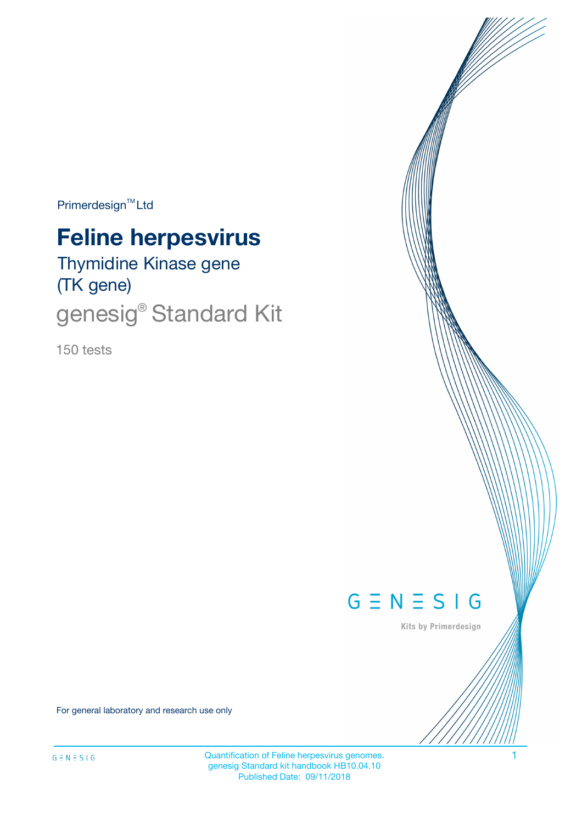Primerdesign<sup>™</sup>Ltd

# **Feline herpesvirus**

Thymidine Kinase gene (TK gene)

genesig<sup>®</sup> Standard Kit

150 tests



Kits by Primerdesign

For general laboratory and research use only

Quantification of Feline herpesvirus genomes. 1 genesig Standard kit handbook HB10.04.10 Published Date: 09/11/2018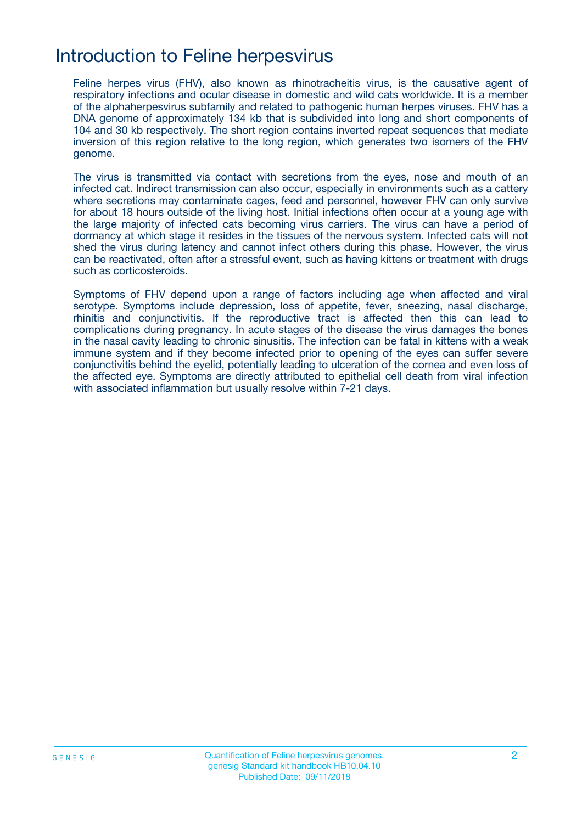## Introduction to Feline herpesvirus

Feline herpes virus (FHV), also known as rhinotracheitis virus, is the causative agent of respiratory infections and ocular disease in domestic and wild cats worldwide. It is a member of the alphaherpesvirus subfamily and related to pathogenic human herpes viruses. FHV has a DNA genome of approximately 134 kb that is subdivided into long and short components of 104 and 30 kb respectively. The short region contains inverted repeat sequences that mediate inversion of this region relative to the long region, which generates two isomers of the FHV genome.

The virus is transmitted via contact with secretions from the eyes, nose and mouth of an infected cat. Indirect transmission can also occur, especially in environments such as a cattery where secretions may contaminate cages, feed and personnel, however FHV can only survive for about 18 hours outside of the living host. Initial infections often occur at a young age with the large majority of infected cats becoming virus carriers. The virus can have a period of dormancy at which stage it resides in the tissues of the nervous system. Infected cats will not shed the virus during latency and cannot infect others during this phase. However, the virus can be reactivated, often after a stressful event, such as having kittens or treatment with drugs such as corticosteroids.

Symptoms of FHV depend upon a range of factors including age when affected and viral serotype. Symptoms include depression, loss of appetite, fever, sneezing, nasal discharge, rhinitis and conjunctivitis. If the reproductive tract is affected then this can lead to complications during pregnancy. In acute stages of the disease the virus damages the bones in the nasal cavity leading to chronic sinusitis. The infection can be fatal in kittens with a weak immune system and if they become infected prior to opening of the eyes can suffer severe conjunctivitis behind the eyelid, potentially leading to ulceration of the cornea and even loss of the affected eye. Symptoms are directly attributed to epithelial cell death from viral infection with associated inflammation but usually resolve within 7-21 days.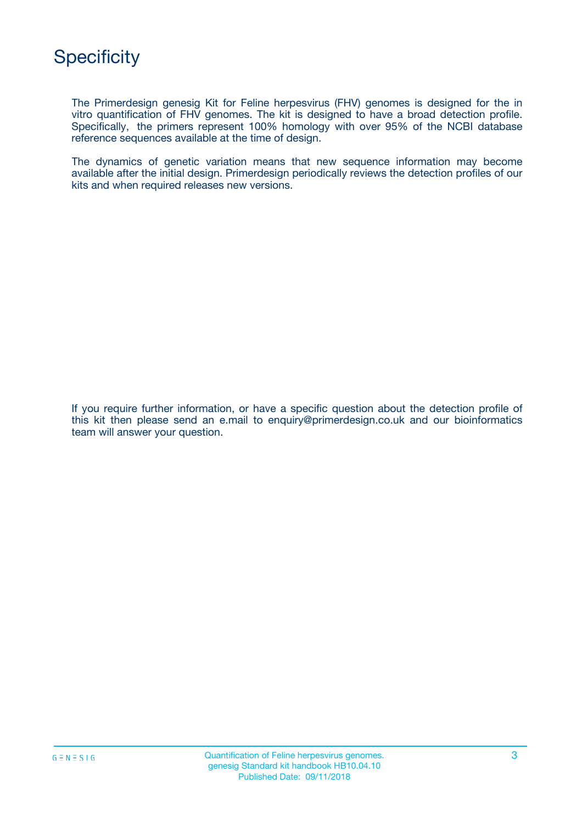The Primerdesign genesig Kit for Feline herpesvirus (FHV) genomes is designed for the in vitro quantification of FHV genomes. The kit is designed to have a broad detection profile. Specifically, the primers represent 100% homology with over 95% of the NCBI database reference sequences available at the time of design.

The dynamics of genetic variation means that new sequence information may become available after the initial design. Primerdesign periodically reviews the detection profiles of our kits and when required releases new versions.

If you require further information, or have a specific question about the detection profile of this kit then please send an e.mail to enquiry@primerdesign.co.uk and our bioinformatics team will answer your question.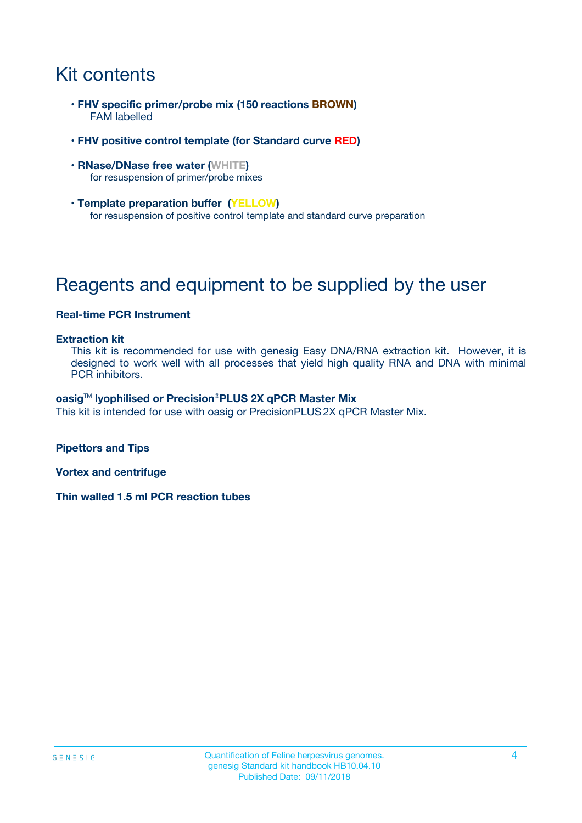# Kit contents

- **FHV specific primer/probe mix (150 reactions BROWN)** FAM labelled
- **FHV positive control template (for Standard curve RED)**
- **RNase/DNase free water (WHITE)** for resuspension of primer/probe mixes
- **Template preparation buffer (YELLOW)** for resuspension of positive control template and standard curve preparation

# Reagents and equipment to be supplied by the user

### **Real-time PCR Instrument**

#### **Extraction kit**

This kit is recommended for use with genesig Easy DNA/RNA extraction kit. However, it is designed to work well with all processes that yield high quality RNA and DNA with minimal PCR inhibitors.

#### **oasig**TM **lyophilised or Precision**®**PLUS 2X qPCR Master Mix**

This kit is intended for use with oasig or PrecisionPLUS2X qPCR Master Mix.

**Pipettors and Tips**

**Vortex and centrifuge**

**Thin walled 1.5 ml PCR reaction tubes**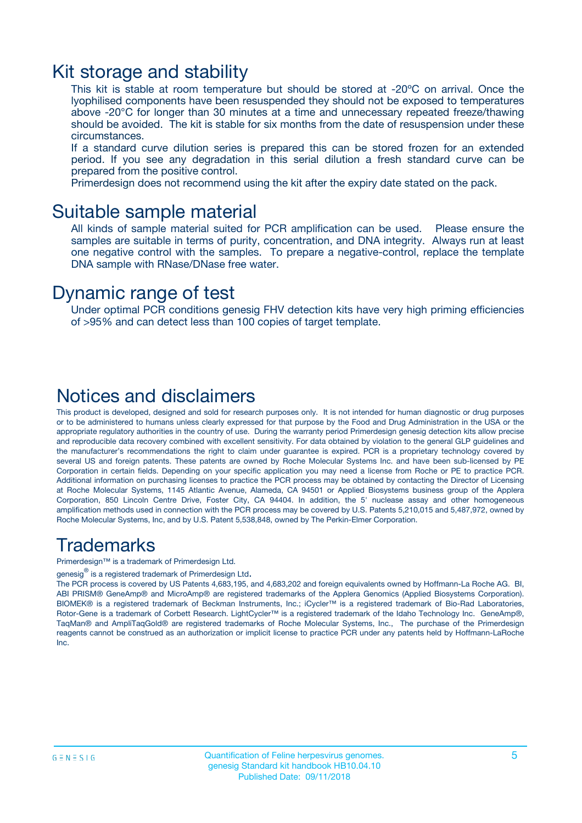### Kit storage and stability

This kit is stable at room temperature but should be stored at -20ºC on arrival. Once the lyophilised components have been resuspended they should not be exposed to temperatures above -20°C for longer than 30 minutes at a time and unnecessary repeated freeze/thawing should be avoided. The kit is stable for six months from the date of resuspension under these circumstances.

If a standard curve dilution series is prepared this can be stored frozen for an extended period. If you see any degradation in this serial dilution a fresh standard curve can be prepared from the positive control.

Primerdesign does not recommend using the kit after the expiry date stated on the pack.

### Suitable sample material

All kinds of sample material suited for PCR amplification can be used. Please ensure the samples are suitable in terms of purity, concentration, and DNA integrity. Always run at least one negative control with the samples. To prepare a negative-control, replace the template DNA sample with RNase/DNase free water.

### Dynamic range of test

Under optimal PCR conditions genesig FHV detection kits have very high priming efficiencies of >95% and can detect less than 100 copies of target template.

### Notices and disclaimers

This product is developed, designed and sold for research purposes only. It is not intended for human diagnostic or drug purposes or to be administered to humans unless clearly expressed for that purpose by the Food and Drug Administration in the USA or the appropriate regulatory authorities in the country of use. During the warranty period Primerdesign genesig detection kits allow precise and reproducible data recovery combined with excellent sensitivity. For data obtained by violation to the general GLP guidelines and the manufacturer's recommendations the right to claim under guarantee is expired. PCR is a proprietary technology covered by several US and foreign patents. These patents are owned by Roche Molecular Systems Inc. and have been sub-licensed by PE Corporation in certain fields. Depending on your specific application you may need a license from Roche or PE to practice PCR. Additional information on purchasing licenses to practice the PCR process may be obtained by contacting the Director of Licensing at Roche Molecular Systems, 1145 Atlantic Avenue, Alameda, CA 94501 or Applied Biosystems business group of the Applera Corporation, 850 Lincoln Centre Drive, Foster City, CA 94404. In addition, the 5' nuclease assay and other homogeneous amplification methods used in connection with the PCR process may be covered by U.S. Patents 5,210,015 and 5,487,972, owned by Roche Molecular Systems, Inc, and by U.S. Patent 5,538,848, owned by The Perkin-Elmer Corporation.

### Trademarks

Primerdesign™ is a trademark of Primerdesign Ltd.

genesig $^\circledR$  is a registered trademark of Primerdesign Ltd.

The PCR process is covered by US Patents 4,683,195, and 4,683,202 and foreign equivalents owned by Hoffmann-La Roche AG. BI, ABI PRISM® GeneAmp® and MicroAmp® are registered trademarks of the Applera Genomics (Applied Biosystems Corporation). BIOMEK® is a registered trademark of Beckman Instruments, Inc.; iCycler™ is a registered trademark of Bio-Rad Laboratories, Rotor-Gene is a trademark of Corbett Research. LightCycler™ is a registered trademark of the Idaho Technology Inc. GeneAmp®, TaqMan® and AmpliTaqGold® are registered trademarks of Roche Molecular Systems, Inc., The purchase of the Primerdesign reagents cannot be construed as an authorization or implicit license to practice PCR under any patents held by Hoffmann-LaRoche Inc.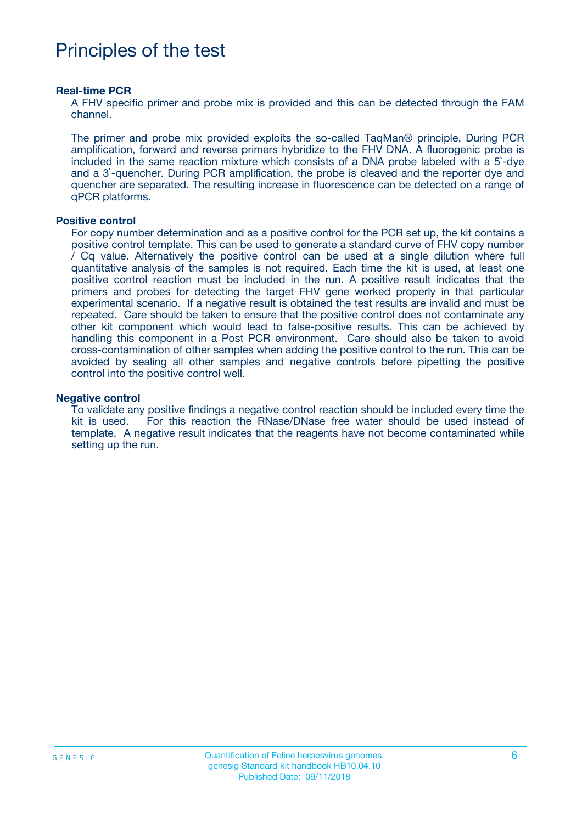# Principles of the test

#### **Real-time PCR**

A FHV specific primer and probe mix is provided and this can be detected through the FAM channel.

The primer and probe mix provided exploits the so-called TaqMan® principle. During PCR amplification, forward and reverse primers hybridize to the FHV DNA. A fluorogenic probe is included in the same reaction mixture which consists of a DNA probe labeled with a 5`-dye and a 3`-quencher. During PCR amplification, the probe is cleaved and the reporter dye and quencher are separated. The resulting increase in fluorescence can be detected on a range of qPCR platforms.

#### **Positive control**

For copy number determination and as a positive control for the PCR set up, the kit contains a positive control template. This can be used to generate a standard curve of FHV copy number / Cq value. Alternatively the positive control can be used at a single dilution where full quantitative analysis of the samples is not required. Each time the kit is used, at least one positive control reaction must be included in the run. A positive result indicates that the primers and probes for detecting the target FHV gene worked properly in that particular experimental scenario. If a negative result is obtained the test results are invalid and must be repeated. Care should be taken to ensure that the positive control does not contaminate any other kit component which would lead to false-positive results. This can be achieved by handling this component in a Post PCR environment. Care should also be taken to avoid cross-contamination of other samples when adding the positive control to the run. This can be avoided by sealing all other samples and negative controls before pipetting the positive control into the positive control well.

#### **Negative control**

To validate any positive findings a negative control reaction should be included every time the kit is used. For this reaction the RNase/DNase free water should be used instead of template. A negative result indicates that the reagents have not become contaminated while setting up the run.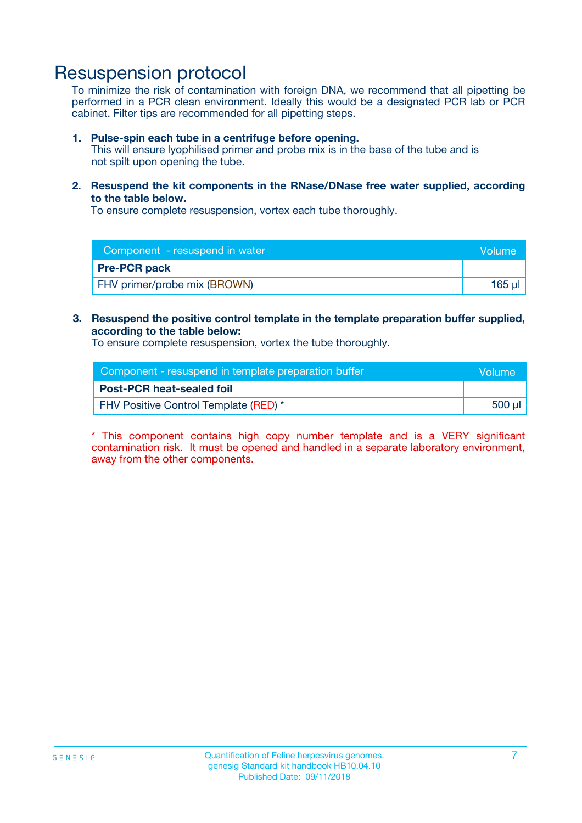## Resuspension protocol

To minimize the risk of contamination with foreign DNA, we recommend that all pipetting be performed in a PCR clean environment. Ideally this would be a designated PCR lab or PCR cabinet. Filter tips are recommended for all pipetting steps.

#### **1. Pulse-spin each tube in a centrifuge before opening.**

This will ensure lyophilised primer and probe mix is in the base of the tube and is not spilt upon opening the tube.

**2. Resuspend the kit components in the RNase/DNase free water supplied, according to the table below.**

To ensure complete resuspension, vortex each tube thoroughly.

| Component - resuspend in water<br>Volume |        |
|------------------------------------------|--------|
| <b>Pre-PCR pack</b>                      |        |
| <b>FHV</b> primer/probe mix (BROWN)      | 165 ul |

### **3. Resuspend the positive control template in the template preparation buffer supplied, according to the table below:**

To ensure complete resuspension, vortex the tube thoroughly.

| Component - resuspend in template preparation buffer |        |  |
|------------------------------------------------------|--------|--|
| <b>Post-PCR heat-sealed foil</b>                     |        |  |
| FHV Positive Control Template (RED) *                | 500 µl |  |

\* This component contains high copy number template and is a VERY significant contamination risk. It must be opened and handled in a separate laboratory environment, away from the other components.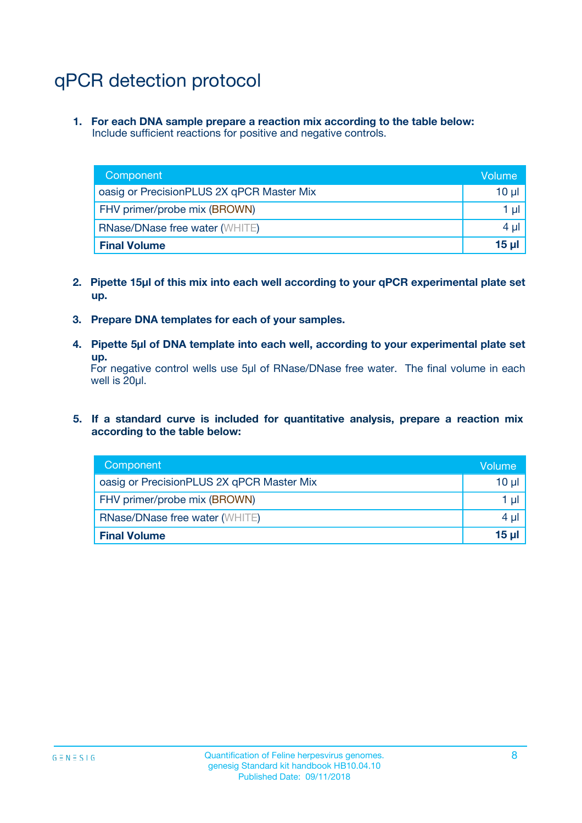# qPCR detection protocol

**1. For each DNA sample prepare a reaction mix according to the table below:** Include sufficient reactions for positive and negative controls.

| Component                                 | Volume          |
|-------------------------------------------|-----------------|
| oasig or PrecisionPLUS 2X qPCR Master Mix | 10 $\mu$        |
| FHV primer/probe mix (BROWN)              | 1 $\mu$         |
| <b>RNase/DNase free water (WHITE)</b>     | $4 \mu$         |
| <b>Final Volume</b>                       | 15 <sub>µ</sub> |

- **2. Pipette 15µl of this mix into each well according to your qPCR experimental plate set up.**
- **3. Prepare DNA templates for each of your samples.**
- **4. Pipette 5µl of DNA template into each well, according to your experimental plate set up.**

For negative control wells use 5µl of RNase/DNase free water. The final volume in each well is 20µl.

**5. If a standard curve is included for quantitative analysis, prepare a reaction mix according to the table below:**

| Component                                 | Volume          |
|-------------------------------------------|-----------------|
| oasig or PrecisionPLUS 2X qPCR Master Mix | 10 µl           |
| FHV primer/probe mix (BROWN)              | 1 µI            |
| <b>RNase/DNase free water (WHITE)</b>     | $4 \mu$         |
| <b>Final Volume</b>                       | 15 <sub>µ</sub> |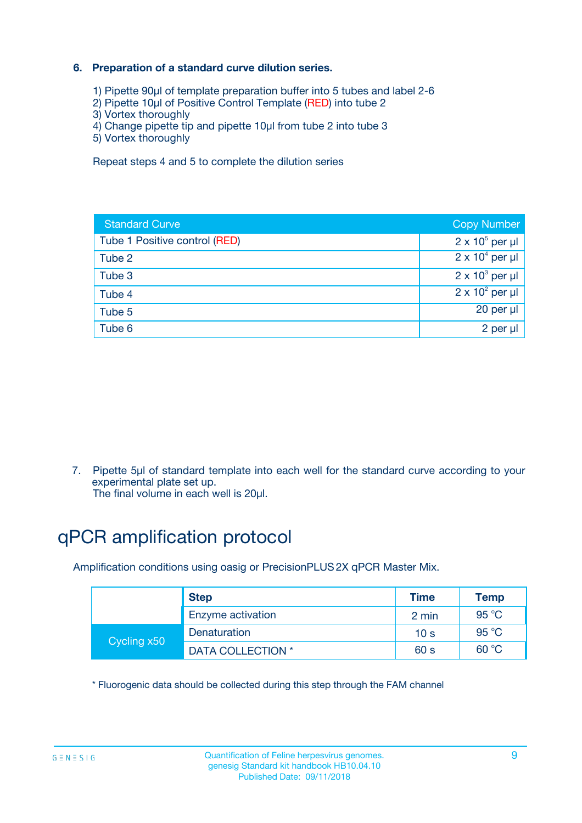### **6. Preparation of a standard curve dilution series.**

- 1) Pipette 90µl of template preparation buffer into 5 tubes and label 2-6
- 2) Pipette 10µl of Positive Control Template (RED) into tube 2
- 3) Vortex thoroughly
- 4) Change pipette tip and pipette 10µl from tube 2 into tube 3
- 5) Vortex thoroughly

Repeat steps 4 and 5 to complete the dilution series

| <b>Standard Curve</b>         | <b>Copy Number</b>     |
|-------------------------------|------------------------|
| Tube 1 Positive control (RED) | $2 \times 10^5$ per µl |
| Tube 2                        | $2 \times 10^4$ per µl |
| Tube 3                        | $2 \times 10^3$ per µl |
| Tube 4                        | $2 \times 10^2$ per µl |
| Tube 5                        | 20 per µl              |
| Tube 6                        | 2 per ul               |

7. Pipette 5µl of standard template into each well for the standard curve according to your experimental plate set up.

The final volume in each well is 20µl.

# qPCR amplification protocol

Amplification conditions using oasig or PrecisionPLUS2X qPCR Master Mix.

|             | <b>Step</b>       | <b>Time</b>     | Temp    |
|-------------|-------------------|-----------------|---------|
|             | Enzyme activation | 2 min           | 95 °C   |
| Cycling x50 | Denaturation      | 10 <sub>s</sub> | 95 $°C$ |
|             | DATA COLLECTION * | 60 s            | 60 °C   |

\* Fluorogenic data should be collected during this step through the FAM channel